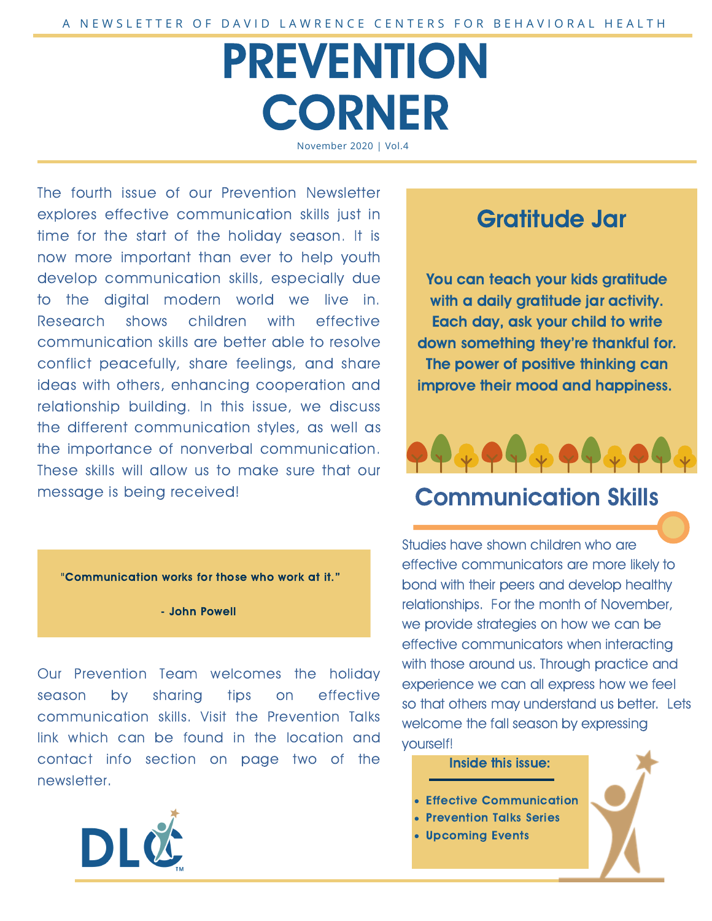# PREVENTION **CORNER** November 2020 | Vol.4

The fourth issue of our Prevention Newsletter explores effective communication skills just in time for the start of the holiday season. It is now more important than ever to help youth develop communication skills, especially due to the digital modern world we live in. Research shows children with effective communication skills are better able to resolve conflict peacefully, share feelings, and share ideas with others, enhancing cooperation and relationship building. In this issue, we discuss the different communication styles, as well as the importance of nonverbal communication. These skills will allow us to make sure that our message is being received!

#### "Communication works for those who work at it."

- John Powell

Our Prevention Team welcomes the holiday season by sharing tips on effective communication skills. Visit the Prevention Talks link which can be found in the location and contact info section on page two of the newsletter.



# Gratitude Jar

You can teach your kids gratitude with a daily gratitude jar activity. Each day, ask your child to write down something they're thankful for. The power of positive thinking can improve their mood and happiness.



### Communication Skills

Studies have shown children who are effective communicators are more likely to bond with their peers and develop healthy relationships. For the month of November, we provide strategies on how we can be effective communicators when interacting with those around us. Through practice and experience we can all express how we feel so that others may understand us better. Lets welcome the fall season by expressing yourself!

#### Inside this issue:

- Effective Communication
- Prevention Talks Series
- Upcoming Events